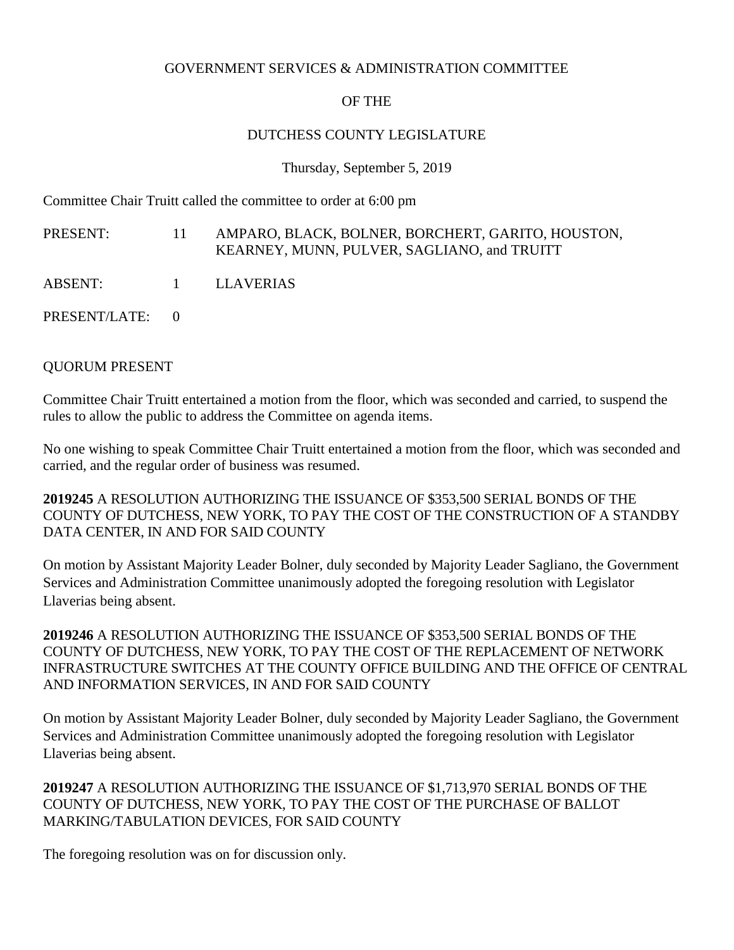#### GOVERNMENT SERVICES & ADMINISTRATION COMMITTEE

## OF THE

## DUTCHESS COUNTY LEGISLATURE

Thursday, September 5, 2019

Committee Chair Truitt called the committee to order at 6:00 pm

PRESENT: 11 AMPARO, BLACK, BOLNER, BORCHERT, GARITO, HOUSTON, KEARNEY, MUNN, PULVER, SAGLIANO, and TRUITT

ABSENT: 1 LLAVERIAS

PRESENT/LATE: 0

#### QUORUM PRESENT

Committee Chair Truitt entertained a motion from the floor, which was seconded and carried, to suspend the rules to allow the public to address the Committee on agenda items.

No one wishing to speak Committee Chair Truitt entertained a motion from the floor, which was seconded and carried, and the regular order of business was resumed.

**2019245** A RESOLUTION AUTHORIZING THE ISSUANCE OF \$353,500 SERIAL BONDS OF THE COUNTY OF DUTCHESS, NEW YORK, TO PAY THE COST OF THE CONSTRUCTION OF A STANDBY DATA CENTER, IN AND FOR SAID COUNTY

On motion by Assistant Majority Leader Bolner, duly seconded by Majority Leader Sagliano, the Government Services and Administration Committee unanimously adopted the foregoing resolution with Legislator Llaverias being absent.

**2019246** A RESOLUTION AUTHORIZING THE ISSUANCE OF \$353,500 SERIAL BONDS OF THE COUNTY OF DUTCHESS, NEW YORK, TO PAY THE COST OF THE REPLACEMENT OF NETWORK INFRASTRUCTURE SWITCHES AT THE COUNTY OFFICE BUILDING AND THE OFFICE OF CENTRAL AND INFORMATION SERVICES, IN AND FOR SAID COUNTY

On motion by Assistant Majority Leader Bolner, duly seconded by Majority Leader Sagliano, the Government Services and Administration Committee unanimously adopted the foregoing resolution with Legislator Llaverias being absent.

**2019247** A RESOLUTION AUTHORIZING THE ISSUANCE OF \$1,713,970 SERIAL BONDS OF THE COUNTY OF DUTCHESS, NEW YORK, TO PAY THE COST OF THE PURCHASE OF BALLOT MARKING/TABULATION DEVICES, FOR SAID COUNTY

The foregoing resolution was on for discussion only.